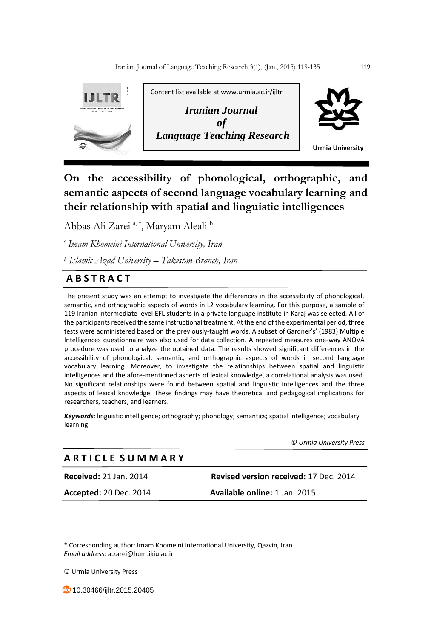

**On the accessibility of phonological, orthographic, and semantic aspects of second language vocabulary learning and their relationship with spatial and linguistic intelligences**

Abbas Ali Zarei<sup>a, \*</sup>, Maryam Aleali<sup>b</sup>

*<sup>a</sup>Imam Khomeini International University, Iran*

*<sup>b</sup> Islamic Azad University – Takestan Branch, Iran*

# **A B S T R A C T**

The present study was an attempt to investigate the differences in the accessibility of phonological, semantic, and orthographic aspects of words in L2 vocabulary learning. For this purpose, a sample of 119 Iranian intermediate level EFL students in a private language institute in Karaj was selected. All of the participants received the same instructional treatment. At the end of the experimental period, three tests were administered based on the previously-taught words. A subset of Gardner's' (1983) Multiple Intelligences questionnaire was also used for data collection. A repeated measures one-way ANOVA procedure was used to analyze the obtained data. The results showed significant differences in the accessibility of phonological, semantic, and orthographic aspects of words in second language vocabulary learning. Moreover, to investigate the relationships between spatial and linguistic intelligences and the afore-mentioned aspects of lexical knowledge, a correlational analysis was used. No significant relationships were found between spatial and linguistic intelligences and the three aspects of lexical knowledge. These findings may have theoretical and pedagogical implications for researchers, teachers, and learners.

*Keywords:* linguistic intelligence; orthography; phonology; semantics; spatial intelligence; vocabulary learning

*© Urmia University Press*

## **A R T I C L E S U M M A R Y**

**Received:** 21 Jan. 2014 **Revised version received:** 17 Dec. 2014

**Accepted:** 20 Dec. 2014 **Available online:** 1 Jan. 2015

\* Corresponding author: Imam Khomeini International University, Qazvin, Iran *Email address:* a.zarei@hum.ikiu.ac.ir

© Urmia University Press

10.30466/ijltr.2015.20405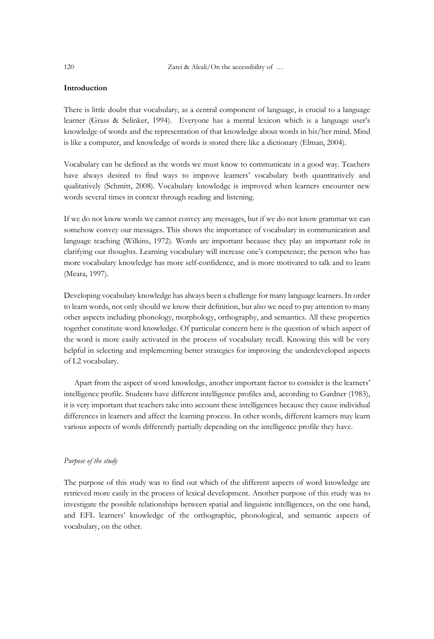120 Zarei & Aleali/On the accessibility of ...

### **Introduction**

There is little doubt that vocabulary, as a central component of language, is crucial to a language learner (Grass & Selinker, 1994). Everyone has a mental lexicon which is a language user's knowledge of words and the representation of that knowledge about words in his/her mind. Mind is like a computer, and knowledge of words is stored there like a dictionary (Elman, 2004).

Vocabulary can be defined as the words we must know to communicate in a good way. Teachers have always desired to find ways to improve learners' vocabulary both quantitatively and qualitatively (Schmitt, 2008). Vocabulary knowledge is improved when learners encounter new words several times in context through reading and listening.

If we do not know words we cannot convey any messages, but if we do not know grammar we can somehow convey our messages. This shows the importance of vocabulary in communication and language teaching (Wilkins, 1972). Words are important because they play an important role in clarifying our thoughts. Learning vocabulary will increase one's competence; the person who has more vocabulary knowledge has more self-confidence, and is more motivated to talk and to learn (Meara, 1997).

Developing vocabulary knowledge has always been a challenge for many language learners. In order to learn words, not only should we know their definition, but also we need to pay attention to many other aspects including phonology, morphology, orthography, and semantics. All these properties together constitute word knowledge. Of particular concern here is the question of which aspect of the word is more easily activated in the process of vocabulary recall. Knowing this will be very helpful in selecting and implementing better strategies for improving the underdeveloped aspects of L2 vocabulary.

 Apart from the aspect of word knowledge, another important factor to consider is the learners' intelligence profile. Students have different intelligence profiles and, according to Gardner (1983), it is very important that teachers take into account these intelligences because they cause individual differences in learners and affect the learning process. In other words, different learners may learn various aspects of words differently partially depending on the intelligence profile they have.

## *Purpose of the study*

The purpose of this study was to find out which of the different aspects of word knowledge are retrieved more easily in the process of lexical development. Another purpose of this study was to investigate the possible relationships between spatial and linguistic intelligences, on the one hand, and EFL learners' knowledge of the orthographic, phonological, and semantic aspects of vocabulary, on the other.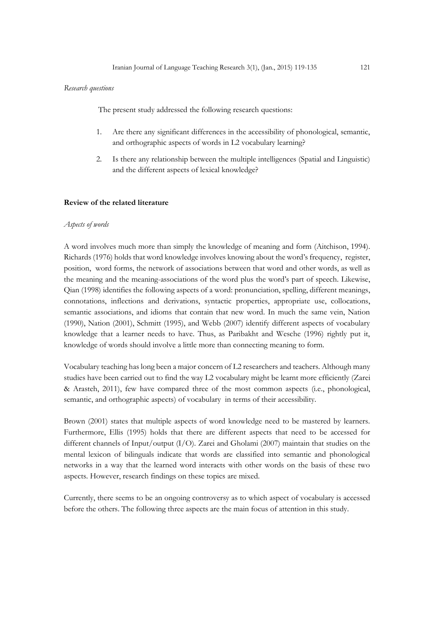#### *Research questions*

The present study addressed the following research questions:

- 1. Are there any significant differences in the accessibility of phonological, semantic, and orthographic aspects of words in L2 vocabulary learning?
- 2. Is there any relationship between the multiple intelligences (Spatial and Linguistic) and the different aspects of lexical knowledge?

#### **Review of the related literature**

#### *Aspects of words*

A word involves much more than simply the knowledge of meaning and form (Aitchison, 1994). Richards (1976) holds that word knowledge involves knowing about the word's frequency, register, position, word forms, the network of associations between that word and other words, as well as the meaning and the meaning-associations of the word plus the word's part of speech. Likewise, Qian (1998) identifies the following aspects of a word: pronunciation, spelling, different meanings, connotations, inflections and derivations, syntactic properties, appropriate use, collocations, semantic associations, and idioms that contain that new word. In much the same vein, Nation (1990), Nation (2001), Schmitt (1995), and Webb (2007) identify different aspects of vocabulary knowledge that a learner needs to have. Thus, as Paribakht and Wesche (1996) rightly put it, knowledge of words should involve a little more than connecting meaning to form.

Vocabulary teaching has long been a major concern of L2 researchers and teachers. Although many studies have been carried out to find the way L2 vocabulary might be learnt more efficiently (Zarei & Arasteh, 2011), few have compared three of the most common aspects (i.e., phonological, semantic, and orthographic aspects) of vocabulary in terms of their accessibility.

Brown (2001) states that multiple aspects of word knowledge need to be mastered by learners. Furthermore, Ellis (1995) holds that there are different aspects that need to be accessed for different channels of Input/output (I/O). Zarei and Gholami (2007) maintain that studies on the mental lexicon of bilinguals indicate that words are classified into semantic and phonological networks in a way that the learned word interacts with other words on the basis of these two aspects. However, research findings on these topics are mixed.

Currently, there seems to be an ongoing controversy as to which aspect of vocabulary is accessed before the others. The following three aspects are the main focus of attention in this study.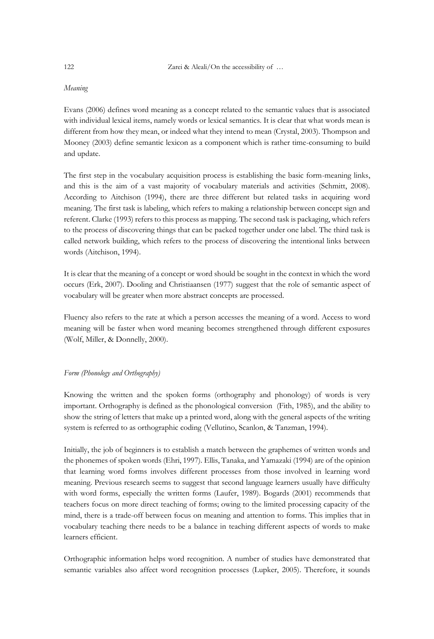## *Meaning*

Evans (2006) defines word meaning as a concept related to the semantic values that is associated with individual lexical items, namely words or lexical semantics. It is clear that what words mean is different from how they mean, or indeed what they intend to mean (Crystal, 2003). Thompson and Mooney (2003) define semantic lexicon as a component which is rather time-consuming to build and update.

The first step in the vocabulary acquisition process is establishing the basic form-meaning links, and this is the aim of a vast majority of vocabulary materials and activities (Schmitt, 2008). According to Aitchison (1994), there are three different but related tasks in acquiring word meaning. The first task is labeling, which refers to making a relationship between concept sign and referent. Clarke (1993) refers to this process as mapping. The second task is packaging, which refers to the process of discovering things that can be packed together under one label. The third task is called network building, which refers to the process of discovering the intentional links between words (Aitchison, 1994).

It is clear that the meaning of a concept or word should be sought in the context in which the word occurs (Erk, 2007). Dooling and Christiaansen (1977) suggest that the role of semantic aspect of vocabulary will be greater when more abstract concepts are processed.

Fluency also refers to the rate at which a person accesses the meaning of a word. Access to word meaning will be faster when word meaning becomes strengthened through different exposures (Wolf, Miller, & Donnelly, 2000).

#### *Form (Phonology and Orthography)*

Knowing the written and the spoken forms (orthography and phonology) of words is very important. Orthography is defined as the phonological conversion (Fith, 1985), and the ability to show the string of letters that make up a printed word, along with the general aspects of the writing system is referred to as orthographic coding (Vellutino, Scanlon, & Tanzman, 1994).

Initially, the job of beginners is to establish a match between the graphemes of written words and the phonemes of spoken words (Ehri, 1997). Ellis, Tanaka, and Yamazaki (1994) are of the opinion that learning word forms involves different processes from those involved in learning word meaning. Previous research seems to suggest that second language learners usually have difficulty with word forms, especially the written forms (Laufer, 1989). Bogards (2001) recommends that teachers focus on more direct teaching of forms; owing to the limited processing capacity of the mind, there is a trade-off between focus on meaning and attention to forms. This implies that in vocabulary teaching there needs to be a balance in teaching different aspects of words to make learners efficient.

Orthographic information helps word recognition. A number of studies have demonstrated that semantic variables also affect word recognition processes (Lupker, 2005). Therefore, it sounds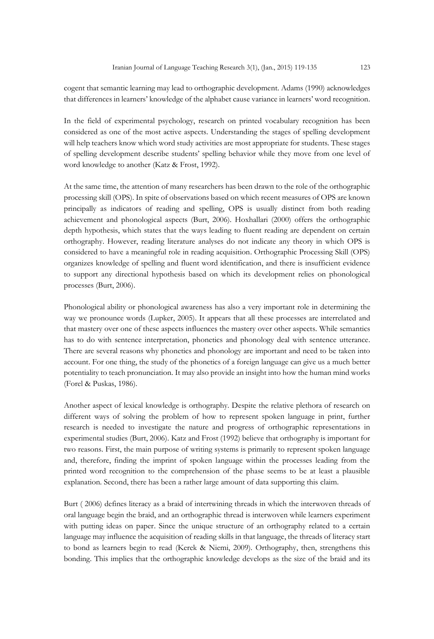cogent that semantic learning may lead to orthographic development. Adams (1990) acknowledges that differences in learners' knowledge of the alphabet cause variance in learners' word recognition.

In the field of experimental psychology, research on printed vocabulary recognition has been considered as one of the most active aspects. Understanding the stages of spelling development will help teachers know which word study activities are most appropriate for students. These stages of spelling development describe students' spelling behavior while they move from one level of word knowledge to another (Katz & Frost, 1992).

At the same time, the attention of many researchers has been drawn to the role of the orthographic processing skill (OPS). In spite of observations based on which recent measures of OPS are known principally as indicators of reading and spelling, OPS is usually distinct from both reading achievement and phonological aspects (Burt, 2006). Hoxhallari (2000) offers the orthographic depth hypothesis, which states that the ways leading to fluent reading are dependent on certain orthography. However, reading literature analyses do not indicate any theory in which OPS is considered to have a meaningful role in reading acquisition. Orthographic Processing Skill (OPS) organizes knowledge of spelling and fluent word identification, and there is insufficient evidence to support any directional hypothesis based on which its development relies on phonological processes (Burt, 2006).

Phonological ability or phonological awareness has also a very important role in determining the way we pronounce words (Lupker, 2005). It appears that all these processes are interrelated and that mastery over one of these aspects influences the mastery over other aspects. While semantics has to do with sentence interpretation, phonetics and phonology deal with sentence utterance. There are several reasons why phonetics and phonology are important and need to be taken into account. For one thing, the study of the phonetics of a foreign language can give us a much better potentiality to teach pronunciation. It may also provide an insight into how the human mind works (Forel & Puskas, 1986).

Another aspect of lexical knowledge is orthography. Despite the relative plethora of research on different ways of solving the problem of how to represent spoken language in print, further research is needed to investigate the nature and progress of orthographic representations in experimental studies (Burt, 2006). Katz and Frost (1992) believe that orthography is important for two reasons. First, the main purpose of writing systems is primarily to represent spoken language and, therefore, finding the imprint of spoken language within the processes leading from the printed word recognition to the comprehension of the phase seems to be at least a plausible explanation. Second, there has been a rather large amount of data supporting this claim.

Burt ( 2006) defines literacy as a braid of intertwining threads in which the interwoven threads of oral language begin the braid, and an orthographic thread is interwoven while learners experiment with putting ideas on paper. Since the unique structure of an orthography related to a certain language may influence the acquisition of reading skills in that language, the threads of literacy start to bond as learners begin to read (Kerek & Niemi, 2009). Orthography, then, strengthens this bonding. This implies that the orthographic knowledge develops as the size of the braid and its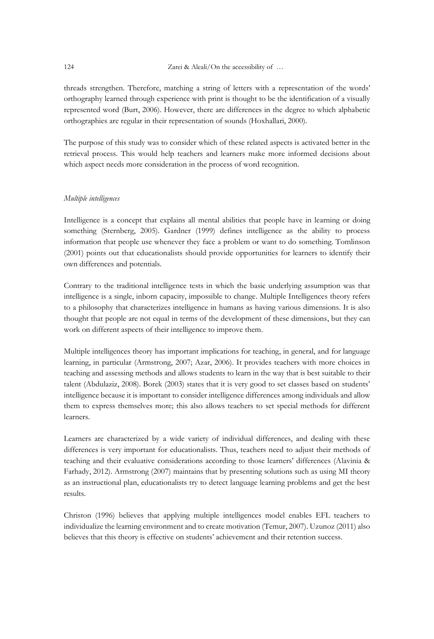threads strengthen. Therefore, matching a string of letters with a representation of the words' orthography learned through experience with print is thought to be the identification of a visually represented word (Burt, 2006). However, there are differences in the degree to which alphabetic orthographies are regular in their representation of sounds (Hoxhallari, 2000).

The purpose of this study was to consider which of these related aspects is activated better in the retrieval process. This would help teachers and learners make more informed decisions about which aspect needs more consideration in the process of word recognition.

#### *Multiple intelligences*

Intelligence is a concept that explains all mental abilities that people have in learning or doing something (Sternberg, 2005). Gardner (1999) defines intelligence as the ability to process information that people use whenever they face a problem or want to do something. Tomlinson (2001) points out that educationalists should provide opportunities for learners to identify their own differences and potentials.

Contrary to the traditional intelligence tests in which the basic underlying assumption was that intelligence is a single, inborn capacity, impossible to change. Multiple Intelligences theory refers to a philosophy that characterizes intelligence in humans as having various dimensions. It is also thought that people are not equal in terms of the development of these dimensions, but they can work on different aspects of their intelligence to improve them.

Multiple intelligences theory has important implications for teaching, in general, and for language learning, in particular (Armstrong, 2007; Azar, 2006). It provides teachers with more choices in teaching and assessing methods and allows students to learn in the way that is best suitable to their talent (Abdulaziz, 2008). Borek (2003) states that it is very good to set classes based on students' intelligence because it is important to consider intelligence differences among individuals and allow them to express themselves more; this also allows teachers to set special methods for different learners.

Learners are characterized by a wide variety of individual differences, and dealing with these differences is very important for educationalists. Thus, teachers need to adjust their methods of teaching and their evaluative considerations according to those learners' differences (Alavinia & Farhady, 2012). Armstrong (2007) maintains that by presenting solutions such as using MI theory as an instructional plan, educationalists try to detect language learning problems and get the best results.

Christon (1996) believes that applying multiple intelligences model enables EFL teachers to individualize the learning environment and to create motivation (Temur, 2007). Uzunoz (2011) also believes that this theory is effective on students' achievement and their retention success.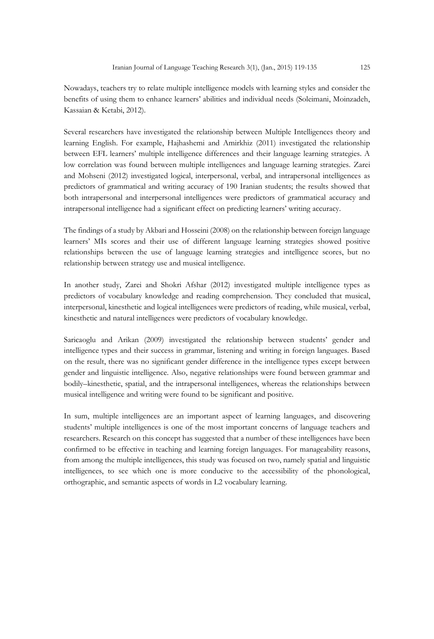Nowadays, teachers try to relate multiple intelligence models with learning styles and consider the benefits of using them to enhance learners' abilities and individual needs (Soleimani, Moinzadeh, Kassaian & Ketabi, 2012).

Several researchers have investigated the relationship between Multiple Intelligences theory and learning English. For example, Hajhashemi and Amirkhiz (2011) investigated the relationship between EFL learners' multiple intelligence differences and their language learning strategies. A low correlation was found between multiple intelligences and language learning strategies. Zarei and Mohseni (2012) investigated logical, interpersonal, verbal, and intrapersonal intelligences as predictors of grammatical and writing accuracy of 190 Iranian students; the results showed that both intrapersonal and interpersonal intelligences were predictors of grammatical accuracy and intrapersonal intelligence had a significant effect on predicting learners' writing accuracy.

The findings of a study by Akbari and Hosseini (2008) on the relationship between foreign language learners' MIs scores and their use of different language learning strategies showed positive relationships between the use of language learning strategies and intelligence scores, but no relationship between strategy use and musical intelligence.

In another study, Zarei and Shokri Afshar (2012) investigated multiple intelligence types as predictors of vocabulary knowledge and reading comprehension. They concluded that musical, interpersonal, kinesthetic and logical intelligences were predictors of reading, while musical, verbal, kinesthetic and natural intelligences were predictors of vocabulary knowledge.

Saricaoglu and Arikan (2009) investigated the relationship between students' gender and intelligence types and their success in grammar, listening and writing in foreign languages. Based on the result, there was no significant gender difference in the intelligence types except between gender and linguistic intelligence. Also, negative relationships were found between grammar and bodily–kinesthetic, spatial, and the intrapersonal intelligences, whereas the relationships between musical intelligence and writing were found to be significant and positive.

In sum, multiple intelligences are an important aspect of learning languages, and discovering students' multiple intelligences is one of the most important concerns of language teachers and researchers. Research on this concept has suggested that a number of these intelligences have been confirmed to be effective in teaching and learning foreign languages. For manageability reasons, from among the multiple intelligences, this study was focused on two, namely spatial and linguistic intelligences, to see which one is more conducive to the accessibility of the phonological, orthographic, and semantic aspects of words in L2 vocabulary learning.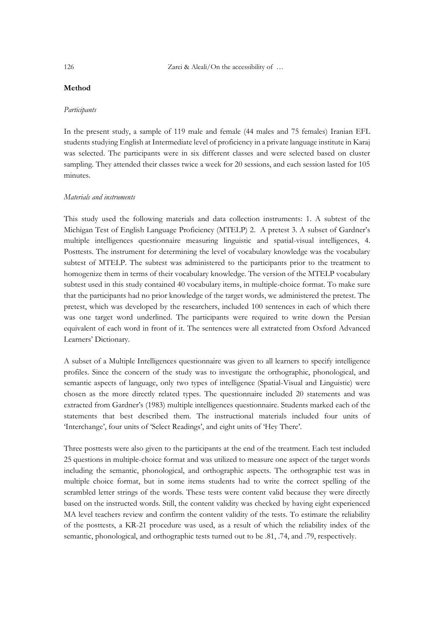## **Method**

#### *Participants*

In the present study, a sample of 119 male and female (44 males and 75 females) Iranian EFL students studying English at Intermediate level of proficiency in a private language institute in Karaj was selected. The participants were in six different classes and were selected based on cluster sampling. They attended their classes twice a week for 20 sessions, and each session lasted for 105 minutes.

### *Materials and instruments*

This study used the following materials and data collection instruments: 1. A subtest of the Michigan Test of English Language Proficiency (MTELP) 2. A pretest 3. A subset of Gardner's multiple intelligences questionnaire measuring linguistic and spatial-visual intelligences, 4. Posttests. The instrument for determining the level of vocabulary knowledge was the vocabulary subtest of MTELP. The subtest was administered to the participants prior to the treatment to homogenize them in terms of their vocabulary knowledge. The version of the MTELP vocabulary subtest used in this study contained 40 vocabulary items, in multiple-choice format. To make sure that the participants had no prior knowledge of the target words, we administered the pretest. The pretest, which was developed by the researchers, included 100 sentences in each of which there was one target word underlined. The participants were required to write down the Persian equivalent of each word in front of it. The sentences were all extratcted from Oxford Advanced Learners' Dictionary.

A subset of a Multiple Intelligences questionnaire was given to all learners to specify intelligence profiles. Since the concern of the study was to investigate the orthographic, phonological, and semantic aspects of language, only two types of intelligence (Spatial-Visual and Linguistic) were chosen as the more directly related types. The questionnaire included 20 statements and was extracted from Gardner's (1983) multiple intelligences questionnaire. Students marked each of the statements that best described them. The instructional materials included four units of 'Interchange', four units of 'Select Readings', and eight units of 'Hey There'.

Three posttests were also given to the participants at the end of the treatment. Each test included 25 questions in multiple-choice format and was utilized to measure one aspect of the target words including the semantic, phonological, and orthographic aspects. The orthographic test was in multiple choice format, but in some items students had to write the correct spelling of the scrambled letter strings of the words. These tests were content valid because they were directly based on the instructed words. Still, the content validity was checked by having eight experienced MA level teachers review and confirm the content validity of the tests. To estimate the reliability of the posttests, a KR-21 procedure was used, as a result of which the reliability index of the semantic, phonological, and orthographic tests turned out to be .81, .74, and .79, respectively.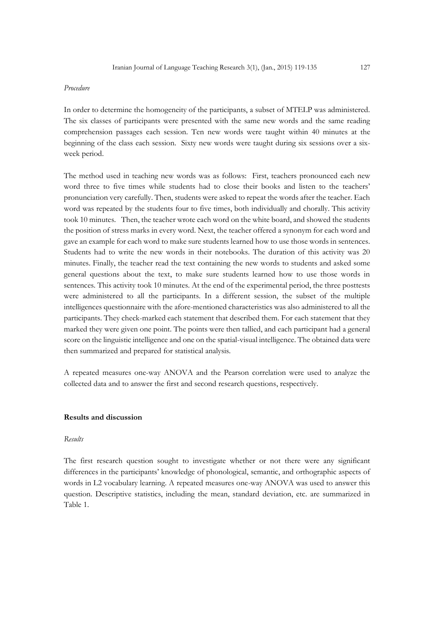#### *Procedure*

In order to determine the homogeneity of the participants, a subset of MTELP was administered. The six classes of participants were presented with the same new words and the same reading comprehension passages each session. Ten new words were taught within 40 minutes at the beginning of the class each session. Sixty new words were taught during six sessions over a sixweek period.

The method used in teaching new words was as follows: First, teachers pronounced each new word three to five times while students had to close their books and listen to the teachers' pronunciation very carefully. Then, students were asked to repeat the words after the teacher. Each word was repeated by the students four to five times, both individually and chorally. This activity took 10 minutes. Then, the teacher wrote each word on the white board, and showed the students the position of stress marks in every word. Next, the teacher offered a synonym for each word and gave an example for each word to make sure students learned how to use those words in sentences. Students had to write the new words in their notebooks. The duration of this activity was 20 minutes. Finally, the teacher read the text containing the new words to students and asked some general questions about the text, to make sure students learned how to use those words in sentences. This activity took 10 minutes. At the end of the experimental period, the three posttests were administered to all the participants. In a different session, the subset of the multiple intelligences questionnaire with the afore-mentioned characteristics was also administered to all the participants. They check-marked each statement that described them. For each statement that they marked they were given one point. The points were then tallied, and each participant had a general score on the linguistic intelligence and one on the spatial-visual intelligence. The obtained data were then summarized and prepared for statistical analysis.

A repeated measures one-way ANOVA and the Pearson correlation were used to analyze the collected data and to answer the first and second research questions, respectively.

### **Results and discussion**

#### *Results*

The first research question sought to investigate whether or not there were any significant differences in the participants' knowledge of phonological, semantic, and orthographic aspects of words in L2 vocabulary learning. A repeated measures one-way ANOVA was used to answer this question. Descriptive statistics, including the mean, standard deviation, etc. are summarized in Table 1.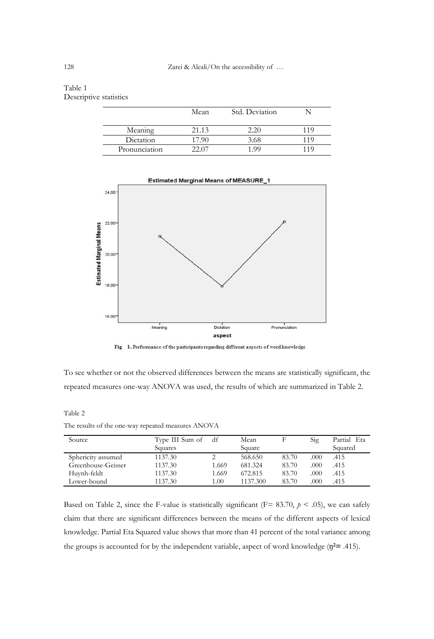## Table 1 Descriptive statistics

|               | Mean  | Std. Deviation |     |
|---------------|-------|----------------|-----|
| Meaning       | 21.13 | 20             | 119 |
| Dictation     | 17.90 | 3.68           | 119 |
| Pronunciation | (201) | 199            | 119 |





To see whether or not the observed differences between the means are statistically significant, the repeated measures one-way ANOVA was used, the results of which are summarized in Table 2.

Table 2

The results of the one-way repeated measures ANOVA

| Source             | Type III Sum of | df    | Mean     |       | Sig  | Partial Eta |
|--------------------|-----------------|-------|----------|-------|------|-------------|
|                    | Squares         |       | Square   |       |      | Squared     |
| Sphericity assumed | 1137.30         |       | 568.650  | 83.70 | .000 | .415        |
| Greenhouse-Geisser | 1137.30         | 1.669 | 681.324  | 83.70 | .000 | .415        |
| Huynh-feldt        | 1137.30         | 1.669 | 672.815  | 83.70 | .000 | .415        |
| Lower-bound        | 1137.30         | 1.00  | 1137.300 | 83.70 | .000 | .415        |

Based on Table 2, since the F-value is statistically significant ( $F = 83.70$ ,  $p < .05$ ), we can safely claim that there are significant differences between the means of the different aspects of lexical knowledge. Partial Eta Squared value shows that more than 41 percent of the total variance among the groups is accounted for by the independent variable, aspect of word knowledge (ŋ**2=** .415).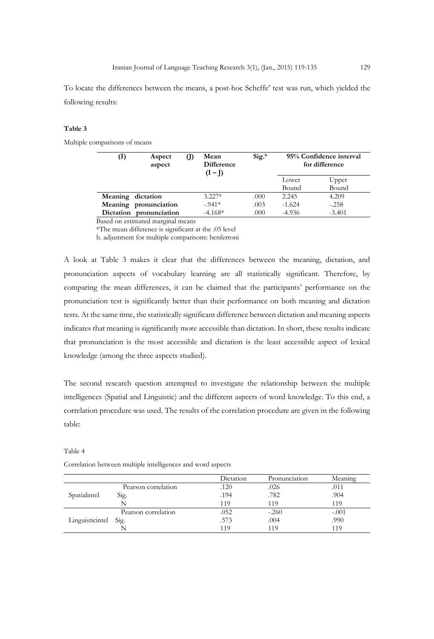To locate the differences between the means, a post-hoc Scheffe' test was run, which yielded the following results:

#### **Table 3**

Multiple comparisons of means

| $\left(1\right)$        | Aspect<br>aspect | O) | Mean<br><b>Difference</b><br>$(I-I)$ | Sig. <sup>b</sup> | 95% Confidence interval<br>for difference |                |
|-------------------------|------------------|----|--------------------------------------|-------------------|-------------------------------------------|----------------|
|                         |                  |    |                                      |                   | Lower<br>Bound                            | Upper<br>Bound |
| Meaning dictation       |                  |    | $3.227*$                             | .000              | 2.245                                     | 4.209          |
| Meaning pronunciation   |                  |    | $-941*$                              | .003              | $-1.624$                                  | $-.258$        |
| Dictation pronunciation |                  |    | $-4.168*$                            | .000              | $-4.936$                                  | $-3.401$       |

Based on estimated marginal means

\*The mean difference is significant at the .05 level

b. adjustment for multiple comparisons: benferroni

A look at Table 3 makes it clear that the differences between the meaning, dictation, and pronunciation aspects of vocabulary learning are all statistically significant. Therefore, by comparing the mean differences, it can be claimed that the participants' performance on the pronunciation test is significantly better than their performance on both meaning and dictation tests. At the same time, the statistically significant difference between dictation and meaning aspects indicates that meaning is significantly more accessible than dictation. In short, these results indicate that pronunciation is the most accessible and dictation is the least accessible aspect of lexical knowledge (among the three aspects studied).

The second research question attempted to investigate the relationship between the multiple intelligences (Spatial and Linguistic) and the different aspects of word knowledge. To this end, a correlation procedure was used. The results of the correlation procedure are given in the following table:

|                 |                     | Dictation | Pronunciation | Meaning |
|-----------------|---------------------|-----------|---------------|---------|
| Spatialintel    | Pearson correlation | .120      | .026          | .011    |
|                 | Sig.                | .194      | .782          | .904    |
|                 |                     | 119       | 119           | 119     |
| Linguisticintel | Pearson correlation | .052      | $-.260$       | $-.001$ |
|                 | Sig.                | .573      | .004          | .990    |
|                 |                     | 119       | 119           | 119     |

#### Table 4

Correlation between multiple intelligences and word aspects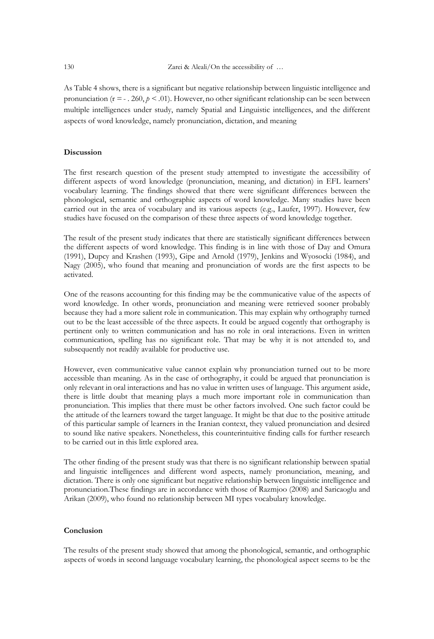As Table 4 shows, there is a significant but negative relationship between linguistic intelligence and pronunciation ( $r = -260$ ,  $p < .01$ ). However, no other significant relationship can be seen between multiple intelligences under study, namely Spatial and Linguistic intelligences, and the different aspects of word knowledge, namely pronunciation, dictation, and meaning

#### **Discussion**

The first research question of the present study attempted to investigate the accessibility of different aspects of word knowledge (pronunciation, meaning, and dictation) in EFL learners' vocabulary learning. The findings showed that there were significant differences between the phonological, semantic and orthographic aspects of word knowledge. Many studies have been carried out in the area of vocabulary and its various aspects (e.g., Laufer, 1997). However, few studies have focused on the comparison of these three aspects of word knowledge together.

The result of the present study indicates that there are statistically significant differences between the different aspects of word knowledge. This finding is in line with those of Day and Omura (1991), Dupcy and Krashen (1993), Gipe and Arnold (1979), Jenkins and Wyosocki (1984), and Nagy (2005), who found that meaning and pronunciation of words are the first aspects to be activated.

One of the reasons accounting for this finding may be the communicative value of the aspects of word knowledge. In other words, pronunciation and meaning were retrieved sooner probably because they had a more salient role in communication. This may explain why orthography turned out to be the least accessible of the three aspects. It could be argued cogently that orthography is pertinent only to written communication and has no role in oral interactions. Even in written communication, spelling has no significant role. That may be why it is not attended to, and subsequently not readily available for productive use.

However, even communicative value cannot explain why pronunciation turned out to be more accessible than meaning. As in the case of orthography, it could be argued that pronunciation is only relevant in oral interactions and has no value in written uses of language. This argument aside, there is little doubt that meaning plays a much more important role in communication than pronunciation. This implies that there must be other factors involved. One such factor could be the attitude of the learners toward the target language. It might be that due to the positive attitude of this particular sample of learners in the Iranian context, they valued pronunciation and desired to sound like native speakers. Nonetheless, this counterintuitive finding calls for further research to be carried out in this little explored area.

The other finding of the present study was that there is no significant relationship between spatial and linguistic intelligences and different word aspects, namely pronunciation, meaning, and dictation. There is only one significant but negative relationship between linguistic intelligence and pronunciation.These findings are in accordance with those of Razmjoo (2008) and Saricaoglu and Arikan (2009), who found no relationship between MI types vocabulary knowledge.

#### **Conclusion**

The results of the present study showed that among the phonological, semantic, and orthographic aspects of words in second language vocabulary learning, the phonological aspect seems to be the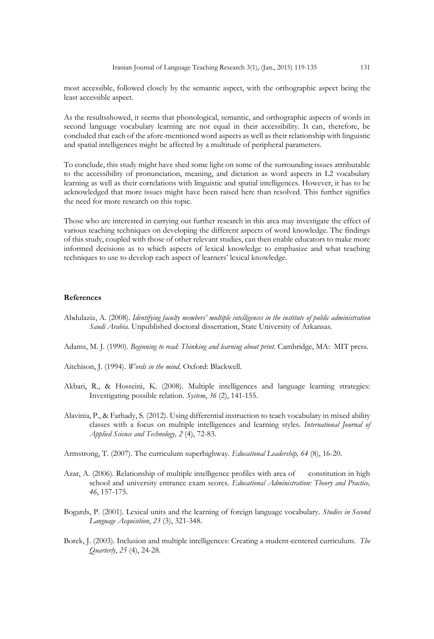most accessible, followed closely by the semantic aspect, with the orthographic aspect being the least accessible aspect.

As the resultsshowed, it seems that phonological, semantic, and orthographic aspects of words in second language vocabulary learning are not equal in their accessibility. It can, therefore, be concluded that each of the afore-mentioned word aspects as well as their relationship with linguistic and spatial intelligences might be affected by a multitude of peripheral parameters.

To conclude, this study might have shed some light on some of the surrounding issues attributable to the accessibility of pronunciation, meaning, and dictation as word aspects in L2 vocabulary learning as well as their correlations with linguistic and spatial intelligences. However, it has to be acknowledged that more issues might have been raised here than resolved. This further signifies the need for more research on this topic.

Those who are interested in carrying out further research in this area may investigate the effect of various teaching techniques on developing the different aspects of word knowledge. The findings of this study, coupled with those of other relevant studies, can then enable educators to make more informed decisions as to which aspects of lexical knowledge to emphasize and what teaching techniques to use to develop each aspect of learners' lexical knowledge.

#### **References**

- Abdulaziz, A. (2008). *Identifying faculty members' multiple intelligences in the institute of public administration Saudi Arabia.* Unpublished doctoral dissertation, State University of Arkansas.
- Adams, M. J. (1990). *Beginning to read: Thinking and learning about print*. Cambridge, MA: MIT press.
- Aitchison, J. (1994). *Words in the mind*. Oxford: Blackwell.
- Akbari, R., & Hosseini, K. (2008). Multiple intelligences and language learning strategies: Investigating possible relation. *System*, *36* (2), 141-155.
- Alavinia, P., & Farhady, S. (2012). Using differential instruction to teach vocabulary in mixed ability classes with a focus on multiple intelligences and learning styles. *International Journal of Applied Science and Technology, 2* (4), 72-83.

Armstrong, T. (2007). The curriculum superhighway. *Educational Leadership, 64* (8), 16-20.

- Azar, A. (2006). Relationship of multiple intelligence profiles with area of constitution in high school and university entrance exam scores*. Educational Administration: Theory and Practice, 46*, 157-175.
- Bogards, P. (2001). Lexical units and the learning of foreign language vocabulary. *Studies in Second Language Acquisition*, *23* (3), 321-348.
- Borek, J. (2003). Inclusion and multiple intelligences: Creating a student-centered curriculum. *The Quarterly*, *25* (4), 24-28.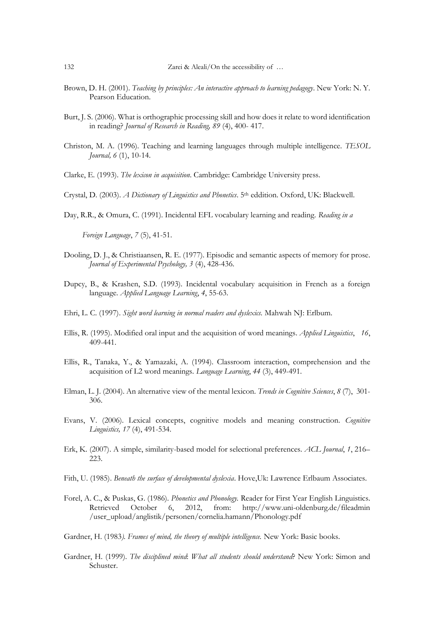- Brown, D. H. (2001). *Teaching by principles: An interactive approach to learning pedagogy*. New York: N. Y. Pearson Education.
- Burt, J. S. (2006). What is orthographic processing skill and how does it relate to word identification in reading? *Journal of Research in Reading, 89* (4), 400- 417.
- Christon, M. A. (1996). Teaching and learning languages through multiple intelligence. *TESOL Journal, 6 (1), 10-14.*

Clarke, E. (1993). *The lexicon in acquisition*. Cambridge: Cambridge University press.

- Crystal, D. (2003). *A Dictionary of Linguistics and Phonetics*. 5th eddition. Oxford, UK: Blackwell.
- Day, R.R., & Omura, C. (1991). Incidental EFL vocabulary learning and reading. *Reading in a*

 *Foreign Language*, *7* (5), 41-51.

- Dooling, D. J., & Christiaansen, R. E. (1977). Episodic and semantic aspects of memory for prose. *Journal of Experimental Psychology, 3* (4), 428-436.
- Dupcy, B., & Krashen, S.D. (1993). Incidental vocabulary acquisition in French as a foreign language*. Applied Language Learning*, *4*, 55-63.
- Ehri, L. C. (1997). *Sight word learning in normal readers and dyslexics.* Mahwah NJ: Erlbum.
- Ellis, R. (1995). Modified oral input and the acquisition of word meanings*. Applied Linguistics*, *16*, 409-441.
- Ellis, R., Tanaka, Y., & Yamazaki, A. (1994). Classroom interaction, comprehension and the acquisition of L2 word meanings. *Language Learning*, *44* (3), 449-491.
- Elman, L. J. (2004). An alternative view of the mental lexicon. *Trends in Cognitive Sciences*, *8* (7), 301- 306.
- Evans, V. (2006). Lexical concepts, cognitive models and meaning construction. *Cognitive Linguistics, 17* (4), 491-534.
- Erk, K. (2007). A simple, similarity-based model for selectional preferences. *ACL Journal*, *1*, 216– 223.
- Fith, U. (1985). *Beneath the surface of developmental dyslexia*. Hove,Uk: Lawrence Erlbaum Associates.
- Forel, A. C., & Puskas, G. (1986). *Phonetics and Phonology.* Reader for First Year English Linguistics. Retrieved October 6, 2012, from: http://www.uni-oldenburg.de/fileadmin /user\_upload/anglistik/personen/cornelia.hamann/Phonology.pdf
- Gardner, H. (1983*). Frames of mind, the theory of multiple intelligence.* New York: Basic books.
- Gardner, H. (1999). *The disciplined mind*: *What all students should understand*? New York: Simon and Schuster.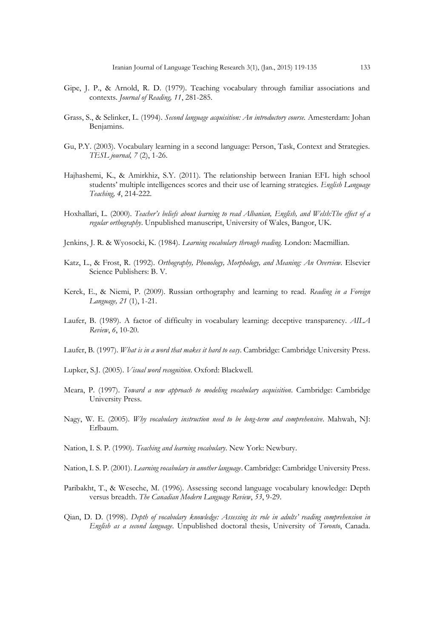- Gipe, J. P., & Arnold, R. D. (1979). Teaching vocabulary through familiar associations and contexts. *Journal of Reading, 11*, 281-285.
- Grass, S., & Selinker, L. (1994). *Second language acquisition: An introductory course.* Amesterdam: Johan Benjamins.
- Gu, P.Y. (2003). Vocabulary learning in a second language: Person, Task, Context and Strategies. *TESL journal, 7* (2), 1-26.
- Hajhashemi, K., & Amirkhiz, S.Y. (2011). The relationship between Iranian EFL high school students' multiple intelligences scores and their use of learning strategies. *English Language Teaching, 4*, 214-222.
- Hoxhallari, L. (2000). *Teacher's beliefs about learning to read Albanian, English, and Welsh:The effect of a regular orthography*. Unpublished manuscript, University of Wales, Bangor, UK.
- Jenkins, J. R. & Wyosocki, K. (1984). *Learning vocabulary through reading*. London: Macmillian.
- Katz, L., & Frost, R. (1992). *Orthography, Phonology, Morphology, and Meaning: An Overview.* Elsevier Science Publishers: B. V.
- Kerek, E., & Niemi, P. (2009). Russian orthography and learning to read. *Reading in a Foreign Language, 21* (1), 1-21.
- Laufer, B. (1989). A factor of difficulty in vocabulary learning: deceptive transparency. *AILA Review*, *6*, 10-20.
- Laufer, B. (1997). *What is in a word that makes it hard to easy*. Cambridge: Cambridge University Press.
- Lupker, S.J. (2005). *Visual word recognition*. Oxford: Blackwell.
- Meara, P. (1997). *Toward a new approach to modeling vocabulary acquisition*. Cambridge: Cambridge University Press.
- Nagy, W. E. (2005). *Why vocabulary instruction need to be long-term and comprehensive*. Mahwah, NJ: Erlbaum.
- Nation, I. S. P. (1990). *Teaching and learning vocabulary*. New York: Newbury.
- Nation, I. S. P. (2001). *Learning vocabulary in another language*. Cambridge: Cambridge University Press.
- Paribakht, T., & Weseche, M. (1996). Assessing second language vocabulary knowledge: Depth versus breadth. *The Canadian Modern Language Review*, *53*, 9-29.
- Qian, D. D. (1998). *Depth of vocabulary knowledge: Assessing its role in adults' reading comprehension in English as a second language*. Unpublished doctoral thesis, University of *Toronto*, Canada.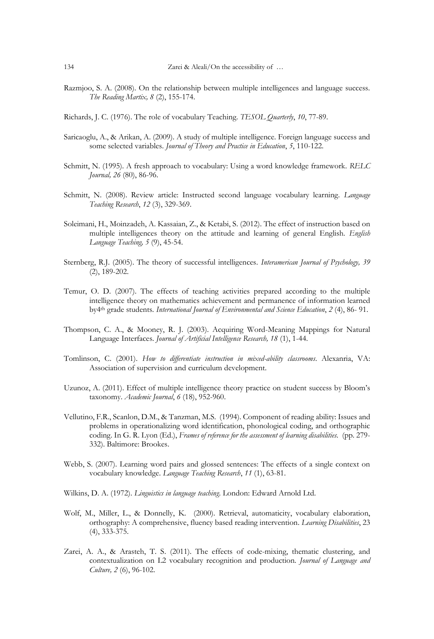- Razmjoo, S. A. (2008). On the relationship between multiple intelligences and language success. *The Reading Martix, 8* (2), 155-174.
- Richards, J. C. (1976). The role of vocabulary Teaching. *TESOL Quarterly*, *10*, 77-89.
- Saricaoglu, A., & Arikan, A. (2009). A study of multiple intelligence. Foreign language success and some selected variables. *Journal of Theory and Practice in Education*, *5*, 110-122.
- Schmitt, N. (1995). A fresh approach to vocabulary: Using a word knowledge framework. *RELC Journal, 26* (80), 86-96.
- Schmitt, N. (2008). Review article: Instructed second language vocabulary learning. *Language Teaching Research*, *12* (3), 329-369.
- Soleimani, H., Moinzadeh, A. Kassaian, Z., & Ketabi, S. (2012). The effect of instruction based on multiple intelligences theory on the attitude and learning of general English. *English Language Teaching, 5* (9), 45-54.
- Sternberg, R.J. (2005). The theory of successful intelligences. *Interamerican Journal of Psychology, 39*  (2), 189-202.
- Temur, O. D. (2007). The effects of teaching activities prepared according to the multiple intelligence theory on mathematics achievement and permanence of information learned by4th grade students*. International Journal of Environmental and Science Education*, *2* (4), 86- 91.
- Thompson, C. A., & Mooney, R. J. (2003). Acquiring Word-Meaning Mappings for Natural Language Interfaces. *Journal of Artificial Intelligence Research, 18* (1), 1-44.
- Tomlinson, C. (2001). *How to differentiate instruction in mixed-ability classrooms*. Alexanria, VA: Association of supervision and curriculum development.
- Uzunoz, A. (2011). Effect of multiple intelligence theory practice on student success by Bloom's taxonomy. *Academic Journal*, *6* (18), 952-960.
- Vellutino, F.R., Scanlon, D.M., & Tanzman, M.S. (1994). Component of reading ability: Issues and problems in operationalizing word identification, phonological coding, and orthographic coding. In G. R. Lyon (Ed.), *Frames of reference for the assessment of learning disabilities.* (pp. 279-332). Baltimore: Brookes.
- Webb, S. (2007). Learning word pairs and glossed sentences: The effects of a single context on vocabulary knowledge. *Language Teaching Research*, *11* (1), 63-81.
- Wilkins, D. A. (1972). *Linguistics in language teaching*. London: Edward Arnold Ltd.
- Wolf, M., Miller, L., & Donnelly, K. (2000). Retrieval, automaticity, vocabulary elaboration, orthography: A comprehensive, fluency based reading intervention. *Learning Disabilities*, 23 (4), 333-375.
- Zarei, A. A., & Arasteh, T. S. (2011). The effects of code-mixing, thematic clustering, and contextualization on L2 vocabulary recognition and production. *Journal of Language and Culture, 2* (6), 96-102.